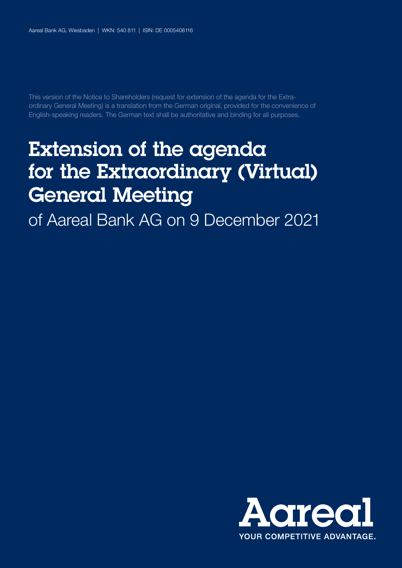This version of the Notice to Shareholders (request for extension of the agenda for the Extraordinary General Meeting) is a translation from the German original, provided for the convenience of English-speaking readers. The German text shall be authoritative and binding for all purposes.

# Extension of the agenda for the Extraordinary (Virtual) General Meeting

of Aareal Bank AG on 9 December 2021

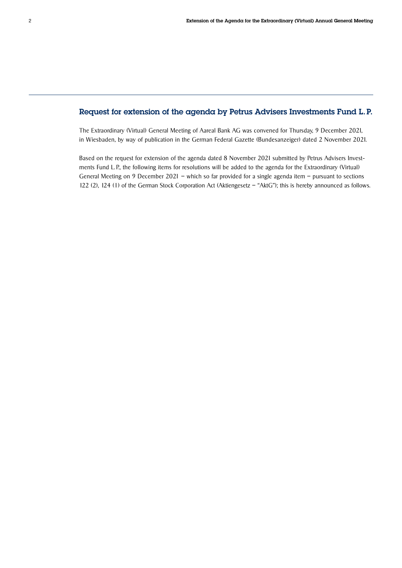#### Request for extension of the agenda by Petrus Advisers Investments Fund L.P.

The Extraordinary (Virtual) General Meeting of Aareal Bank AG was convened for Thursday, 9 December 2021, in Wiesbaden, by way of publication in the German Federal Gazette (Bundesanzeiger) dated 2 November 2021.

Based on the request for extension of the agenda dated 8 November 2021 submitted by Petrus Advisers Investments Fund L. P., the following items for resolutions will be added to the agenda for the Extraordinary (Virtual) General Meeting on 9 December 2021 – which so far provided for a single agenda item – pursuant to sections 122 (2), 124 (1) of the German Stock Corporation Act (Aktiengesetz – "AktG"); this is hereby announced as follows.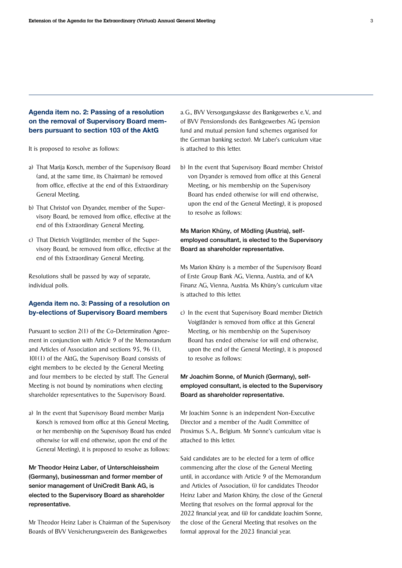## Agenda item no. 2: Passing of a resolution on the removal of Supervisory Board members pursuant to section 103 of the AktG

It is proposed to resolve as follows:

- a) That Marija Korsch, member of the Supervisory Board (and, at the same time, its Chairman) be removed from office, effective at the end of this Extraordinary General Meeting.
- b) That Christof von Dryander, member of the Supervisory Board, be removed from office, effective at the end of this Extraordinary General Meeting.
- c) That Dietrich Voigtländer, member of the Supervisory Board, be removed from office, effective at the end of this Extraordinary General Meeting.

Resolutions shall be passed by way of separate, individual polls.

#### Agenda item no. 3: Passing of a resolution on by-elections of Supervisory Board members

Pursuant to section 2(1) of the Co-Determination Agreement in conjunction with Article 9 of the Memorandum and Articles of Association and sections 95, 96 (1), 101(1) of the AktG, the Supervisory Board consists of eight members to be elected by the General Meeting and four members to be elected by staff. The General Meeting is not bound by nominations when electing shareholder representatives to the Supervisory Board.

a) In the event that Supervisory Board member Marija Korsch is removed from office at this General Meeting, or her membership on the Supervisory Board has ended otherwise (or will end otherwise, upon the end of the General Meeting), it is proposed to resolve as follows:

## Mr Theodor Heinz Laber, of Unterschleissheim (Germany), businessman and former member of senior management of UniCredit Bank AG, is elected to the Supervisory Board as shareholder representative.

Mr Theodor Heinz Laber is Chairman of the Supervisory Boards of BVV Versicherungsverein des Bankgewerbes

a. G., BVV Versorgungskasse des Bankgewerbes e. V., and of BVV Pensionsfonds des Bankgewerbes AG (pension fund and mutual pension fund schemes organised for the German banking sector). Mr Laber's curriculum vitae is attached to this letter.

b) In the event that Supervisory Board member Christof von Dryander is removed from office at this General Meeting, or his membership on the Supervisory Board has ended otherwise (or will end otherwise, upon the end of the General Meeting), it is proposed to resolve as follows:

## Ms Marion Khüny, of Mödling (Austria), selfemployed consultant, is elected to the Supervisory Board as shareholder representative.

Ms Marion Khüny is a member of the Supervisory Board of Erste Group Bank AG, Vienna, Austria, and of KA Finanz AG, Vienna, Austria. Ms Khüny's curriculum vitae is attached to this letter.

c) In the event that Supervisory Board member Dietrich Voigtländer is removed from office at this General Meeting, or his membership on the Supervisory Board has ended otherwise (or will end otherwise, upon the end of the General Meeting), it is proposed to resolve as follows:

## Mr Joachim Sonne, of Munich (Germany), selfemployed consultant, is elected to the Supervisory Board as shareholder representative.

Mr Joachim Sonne is an independent Non-Executive Director and a member of the Audit Committee of Proximus S. A., Belgium. Mr Sonne's curriculum vitae is attached to this letter.

Said candidates are to be elected for a term of office commencing after the close of the General Meeting until, in accordance with Article 9 of the Memorandum and Articles of Association, (i) for candidates Theodor Heinz Laber and Marion Khüny, the close of the General Meeting that resolves on the formal approval for the 2022 financial year, and (ii) for candidate Joachim Sonne, the close of the General Meeting that resolves on the formal approval for the 2023 financial year.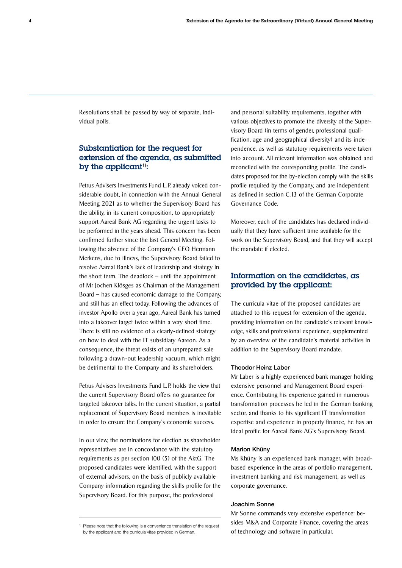Resolutions shall be passed by way of separate, individual polls.

## Substantiation for the request for extension of the agenda, as submitted by the applicant<sup>1)</sup>:

Petrus Advisers Investments Fund L.P. already voiced considerable doubt, in connection with the Annual General Meeting 2021 as to whether the Supervisory Board has the ability, in its current composition, to appropriately support Aareal Bank AG regarding the urgent tasks to be performed in the years ahead. This concern has been confirmed further since the last General Meeting. Following the absence of the Company's CEO Hermann Merkens, due to illness, the Supervisory Board failed to resolve Aareal Bank's lack of leadership and strategy in the short term. The deadlock  $-$  until the appointment of Mr Jochen Klösges as Chairman of the Management Board – has caused economic damage to the Company, and still has an effect today. Following the advances of investor Apollo over a year ago, Aareal Bank has turned into a takeover target twice within a very short time. There is still no evidence of a clearly-defined strategy on how to deal with the IT subsidiary Aareon. As a consequence, the threat exists of an unprepared sale following a drawn-out leadership vacuum, which might be detrimental to the Company and its shareholders.

Petrus Advisers Investments Fund L. P. holds the view that the current Supervisory Board offers no guarantee for targeted takeover talks. In the current situation, a partial replacement of Supervisory Board members is inevitable in order to ensure the Company's economic success.

In our view, the nominations for election as shareholder representatives are in concordance with the statutory requirements as per section 100 (5) of the AktG. The proposed candidates were identified, with the support of external advisors, on the basis of publicly available Company information regarding the skills profile for the Supervisory Board. For this purpose, the professional

and personal suitability requirements, together with various objectives to promote the diversity of the Supervisory Board (in terms of gender, professional qualification, age and geographical diversity) and its independence, as well as statutory requirements were taken into account. All relevant information was obtained and reconciled with the corresponding profile. The candidates proposed for the by-election comply with the skills profile required by the Company, and are independent as defined in section C.13 of the German Corporate Governance Code.

Moreover, each of the candidates has declared individually that they have sufficient time available for the work on the Supervisory Board, and that they will accept the mandate if elected.

## Information on the candidates, as provided by the applicant:

The curricula vitae of the proposed candidates are attached to this request for extension of the agenda, providing information on the candidate's relevant knowledge, skills and professional experience, supplemented by an overview of the candidate's material activities in addition to the Supervisory Board mandate.

#### Theodor Heinz Laber

Mr Laber is a highly experienced bank manager holding extensive personnel and Management Board experience. Contributing his experience gained in numerous transformation processes he led in the German banking sector, and thanks to his significant IT transformation expertise and experience in property finance, he has an ideal profile for Aareal Bank AG's Supervisory Board.

#### Marion Khüny

Ms Khüny is an experienced bank manager, with broad-based experience in the areas of portfolio management, investment banking and risk management, as well as corporate governance.

#### Joachim Sonne

Mr Sonne commands very extensive experience: besides M&A and Corporate Finance, covering the areas of technology and software in particular.

<sup>&</sup>lt;sup>1)</sup> Please note that the following is a convenience translation of the request by the applicant and the curricula vitae provided in German.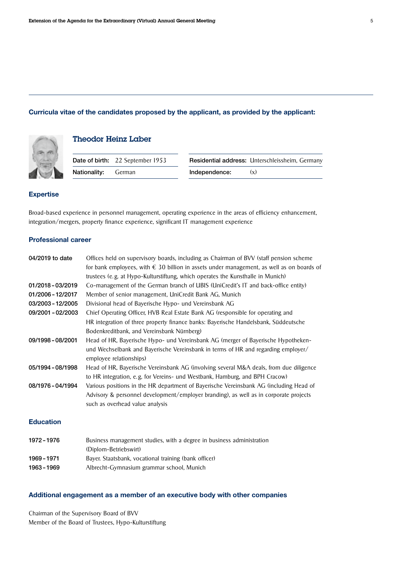#### Curricula vitae of the candidates proposed by the applicant, as provided by the applicant:



## Theodor Heinz Laber

|                            | Date of birth: 22 September 1953 |               | Residential address: Unterschleissheim, Germany |
|----------------------------|----------------------------------|---------------|-------------------------------------------------|
| <b>Nationality:</b> German |                                  | Independence: | (x)                                             |
|                            |                                  |               |                                                 |

#### Expertise

Broad-based experience in personnel management, operating experience in the areas of efficiency enhancement, integration/mergers, property finance experience, significant IT management experience

## Professional career

| 04/2019 to date   | Offices held on supervisory boards, including as Chairman of BVV (staff pension scheme                                                                                |
|-------------------|-----------------------------------------------------------------------------------------------------------------------------------------------------------------------|
|                   | for bank employees, with $\epsilon$ 30 billion in assets under management, as well as on boards of                                                                    |
|                   | trustees (e.g. at Hypo-Kulturstiftung, which operates the Kunsthalle in Munich)                                                                                       |
| 01/2018-03/2019   | Co-management of the German branch of UBIS (UniCredit's IT and back-office entity)                                                                                    |
| 01/2006 - 12/2017 | Member of senior management, UniCredit Bank AG, Munich                                                                                                                |
| 03/2003 - 12/2005 | Divisional head of Bayerische Hypo- und Vereinsbank AG                                                                                                                |
| 09/2001 - 02/2003 | Chief Operating Officer, HVB Real Estate Bank AG (responsible for operating and                                                                                       |
|                   | HR integration of three property finance banks: Bayerische Handelsbank, Süddeutsche                                                                                   |
|                   | Bodenkreditbank, and Vereinsbank Nürnberg)                                                                                                                            |
| 09/1998 - 08/2001 | Head of HR, Bayerische Hypo- und Vereinsbank AG (merger of Bayerische Hypotheken-                                                                                     |
|                   | und Wechselbank and Bayerische Vereinsbank in terms of HR and regarding employer/                                                                                     |
|                   | employee relationships)                                                                                                                                               |
| 05/1994 - 08/1998 | Head of HR, Bayerische Vereinsbank AG (involving several M&A deals, from due diligence<br>to HR integration, e.g. for Vereins- und Westbank, Hamburg, and BPH Cracow) |
| 08/1976 - 04/1994 | Various positions in the HR department of Bayerische Vereinsbank AG (including Head of                                                                                |
|                   | Advisory & personnel development/employer branding), as well as in corporate projects                                                                                 |
|                   | such as overhead value analysis                                                                                                                                       |
| <b>Education</b>  |                                                                                                                                                                       |
|                   |                                                                                                                                                                       |

| 1972 - 1976 | Business management studies, with a degree in business administration |
|-------------|-----------------------------------------------------------------------|
|             | (Diplom-Betriebswirt)                                                 |
| 1969 - 1971 | Bayer. Staatsbank, vocational training (bank officer)                 |
| 1963 - 1969 | Albrecht-Gymnasium grammar school, Munich                             |

#### Additional engagement as a member of an executive body with other companies

Chairman of the Supervisory Board of BVV Member of the Board of Trustees, Hypo-Kulturstiftung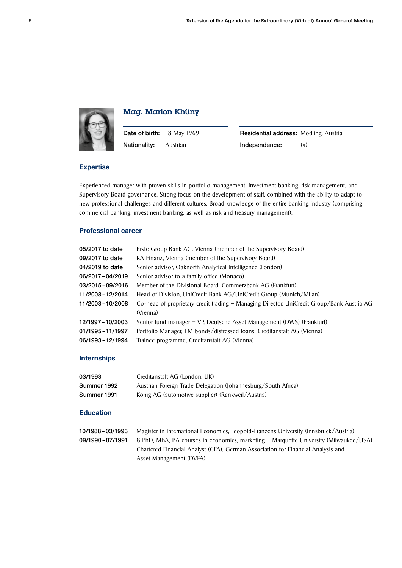

## Mag. Marion Khüny

| Date of birth: 18 May 1969 |          | Residential address: Mo |     |
|----------------------------|----------|-------------------------|-----|
| Nationality:               | Austrian | Independence:           | (x) |

| Date of birth: 18 May 1969   | Residential address: Mödling, Austria |     |
|------------------------------|---------------------------------------|-----|
| <b>Nationality:</b> Austrian | Independence:                         | (x) |

#### Expertise

Experienced manager with proven skills in portfolio management, investment banking, risk management, and Supervisory Board governance. Strong focus on the development of staff, combined with the ability to adapt to new professional challenges and different cultures. Broad knowledge of the entire banking industry (comprising commercial banking, investment banking, as well as risk and treasury management).

#### Professional career

| 05/2017 to date   | Erste Group Bank AG, Vienna (member of the Supervisory Board)                              |
|-------------------|--------------------------------------------------------------------------------------------|
| 09/2017 to date   | KA Finanz, Vienna (member of the Supervisory Board)                                        |
| 04/2019 to date   | Senior advisor, Oaknorth Analytical Intelligence (London)                                  |
| 06/2017-04/2019   | Senior advisor to a family office (Monaco)                                                 |
| 03/2015-09/2016   | Member of the Divisional Board, Commerzbank AG (Frankfurt)                                 |
| 11/2008 - 12/2014 | Head of Division, UniCredit Bank AG/UniCredit Group (Munich/Milan)                         |
| 11/2003 - 10/2008 | Co-head of proprietary credit trading – Managing Director, UniCredit Group/Bank Austria AG |
|                   | (Vienna)                                                                                   |
| 12/1997 - 10/2003 | Senior fund manager – VP, Deutsche Asset Management (DWS) (Frankfurt)                      |
| 01/1995 - 11/1997 | Portfolio Manager, EM bonds/distressed loans, Creditanstalt AG (Vienna)                    |
| 06/1993-12/1994   | Trainee programme, Creditanstalt AG (Vienna)                                               |

#### Internships

| 03/1993     | Creditanstalt AG (London, UK)                                 |
|-------------|---------------------------------------------------------------|
| Summer 1992 | Austrian Foreign Trade Delegation (Johannesburg/South Africa) |
| Summer 1991 | König AG (automotive supplier) (Rankweil/Austria)             |

#### Education

| 10/1988-03/1993   | Magister in International Economics, Leopold-Franzens University (Innsbruck/Austria)  |
|-------------------|---------------------------------------------------------------------------------------|
| 09/1990 - 07/1991 | 8 PhD, MBA, BA courses in economics, marketing – Marguette University (Milwaukee/USA) |
|                   | Chartered Financial Analyst (CFA), German Association for Financial Analysis and      |
|                   | Asset Management (DVFA)                                                               |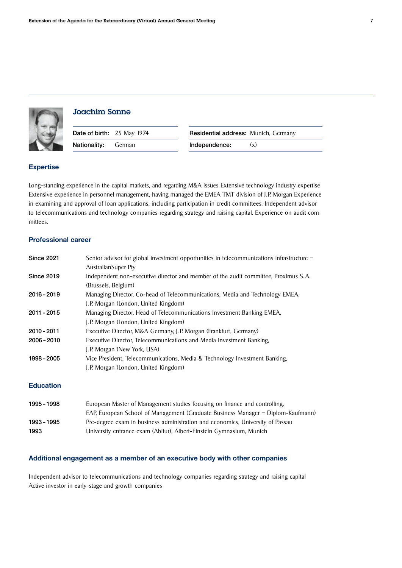



## Joachim Sonne

| Date of birth: 25 May 1974 | <b>Residential address: Munich, Germany</b> |
|----------------------------|---------------------------------------------|
| <b>Nationality:</b> German | Independence:<br>(x)                        |

#### Expertise

Long-standing experience in the capital markets, and regarding M&A issues Extensive technology industry expertise Extensive experience in personnel management, having managed the EMEA TMT division of J. P. Morgan Experience in examining and approval of loan applications, including participation in credit committees. Independent advisor to telecommunications and technology companies regarding strategy and raising capital. Experience on audit committees.

#### Professional career

| <b>Since 2021</b> | Senior advisor for global investment opportunities in telecommunications infrastructure - |
|-------------------|-------------------------------------------------------------------------------------------|
|                   | AustralianSuper Pty                                                                       |
| <b>Since 2019</b> | Independent non-executive director and member of the audit committee, Proximus S.A.       |
|                   | (Brussels, Belgium)                                                                       |
| $2016 - 2019$     | Managing Director, Co-head of Telecommunications, Media and Technology EMEA,              |
|                   | J.P. Morgan (London, United Kingdom)                                                      |
| $2011 - 2015$     | Managing Director, Head of Telecommunications Investment Banking EMEA,                    |
|                   | J.P. Morgan (London, United Kingdom)                                                      |
| $2010 - 2011$     | Executive Director, M&A Germany, J.P. Morgan (Frankfurt, Germany)                         |
| $2006 - 2010$     | Executive Director, Telecommunications and Media Investment Banking,                      |
|                   | J.P. Morgan (New York, USA)                                                               |
| 1998 - 2005       | Vice President, Telecommunications, Media & Technology Investment Banking,                |
|                   | J.P. Morgan (London, United Kingdom)                                                      |
|                   |                                                                                           |

#### Education

| 1995 - 1998 | European Master of Management studies focusing on finance and controlling.       |  |
|-------------|----------------------------------------------------------------------------------|--|
|             | EAP, European School of Management (Graduate Business Manager – Diplom-Kaufmann) |  |
| 1993 - 1995 | Pre-degree exam in business administration and economics, University of Passau   |  |
| 1993        | University entrance exam (Abitur), Albert-Einstein Gymnasium, Munich             |  |

#### Additional engagement as a member of an executive body with other companies

Independent advisor to telecommunications and technology companies regarding strategy and raising capital Active investor in early-stage and growth companies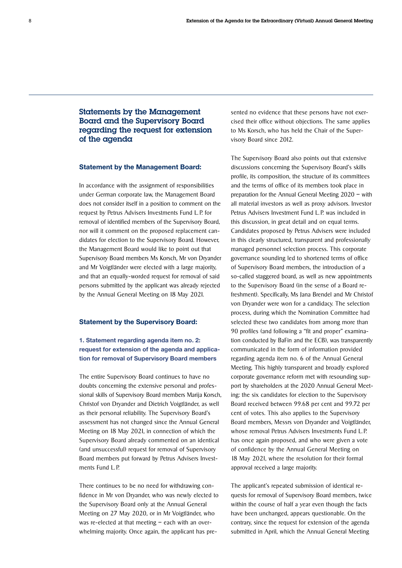## Statements by the Management Board and the Supervisory Board regarding the request for extension of the agenda

#### Statement by the Management Board:

In accordance with the assignment of responsibilities under German corporate law, the Management Board does not consider itself in a position to comment on the request by Petrus Advisers Investments Fund L. P. for removal of identified members of the Supervisory Board, nor will it comment on the proposed replacement candidates for election to the Supervisory Board. However, the Management Board would like to point out that Supervisory Board members Ms Korsch, Mr von Dryander and Mr Voigtländer were elected with a large majority, and that an equally-worded request for removal of said persons submitted by the applicant was already rejected by the Annual General Meeting on 18 May 2021.

#### Statement by the Supervisory Board:

#### 1. Statement regarding agenda item no. 2: request for extension of the agenda and application for removal of Supervisory Board members

The entire Supervisory Board continues to have no doubts concerning the extensive personal and professional skills of Supervisory Board members Marija Korsch, Christof von Dryander and Dietrich Voigtländer, as well as their personal reliability. The Supervisory Board's assessment has not changed since the Annual General Meeting on 18 May 2021, in connection of which the Supervisory Board already commented on an identical (and unsuccessful) request for removal of Supervisory Board members put forward by Petrus Advisers Investments Fund L. P.

There continues to be no need for withdrawing confidence in Mr von Dryander, who was newly elected to the Supervisory Board only at the Annual General Meeting on 27 May 2020, or in Mr Voigtländer, who was re-elected at that meeting – each with an overwhelming majority. Once again, the applicant has presented no evidence that these persons have not exercised their office without objections. The same applies to Ms Korsch, who has held the Chair of the Supervisory Board since 2012.

The Supervisory Board also points out that extensive discussions concerning the Supervisory Board's skills profile, its composition, the structure of its committees and the terms of office of its members took place in preparation for the Annual General Meeting 2020 – with all material investors as well as proxy advisors. Investor Petrus Advisers Investment Fund L. P. was included in this discussion, in great detail and on equal terms. Candidates proposed by Petrus Advisers were included in this clearly structured, transparent and professionally managed personnel selection process. This corporate governance sounding led to shortened terms of office of Supervisory Board members, the introduction of a so-called staggered board, as well as new appointments to the Supervisory Board (in the sense of a Board refreshment). Specifically, Ms Jana Brendel and Mr Christof von Dryander were won for a candidacy. The selection process, during which the Nomination Committee had selected these two candidates from among more than 90 profiles (and following a "fit and proper" examination conducted by BaFin and the ECB), was transparently communicated in the form of information provided regarding agenda item no. 6 of the Annual General Meeting. This highly transparent and broadly explored corporate governance reform met with resounding support by shareholders at the 2020 Annual General Meeting: the six candidates for election to the Supervisory Board received between 99.68 per cent and 99.72 per cent of votes. This also applies to the Supervisory Board members, Messrs von Dryander and Voigtländer, whose removal Petrus Advisers Investments Fund L. P. has once again proposed, and who were given a vote of confidence by the Annual General Meeting on 18 May 2021, where the resolution for their formal approval received a large majority.

The applicant's repeated submission of identical requests for removal of Supervisory Board members, twice within the course of half a year even though the facts have been unchanged, appears questionable. On the contrary, since the request for extension of the agenda submitted in April, which the Annual General Meeting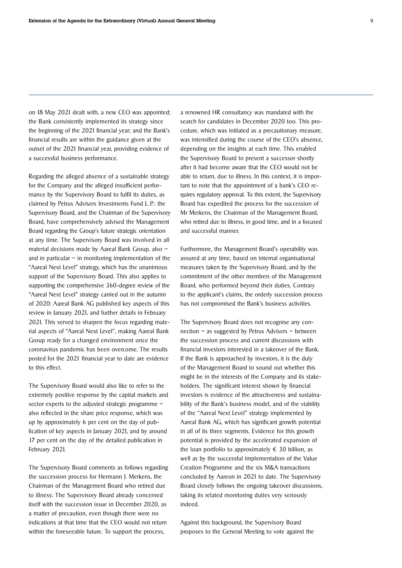on 18 May 2021 dealt with, a new CEO was appointed; the Bank consistently implemented its strategy since the beginning of the 2021 financial year; and the Bank's financial results are within the guidance given at the outset of the 2021 financial year, providing evidence of a successful business performance.

Regarding the alleged absence of a sustainable strategy for the Company and the alleged insufficient performance by the Supervisory Board to fulfil its duties, as claimed by Petrus Advisers Investments Fund L. P.: the Supervisory Board, and the Chairman of the Supervisory Board, have comprehensively advised the Management Board regarding the Group's future strategic orientation at any time. The Supervisory Board was involved in all material decisions made by Aareal Bank Group, also – and in particular  $-$  in monitoring implementation of the "Aareal Next Level" strategy, which has the unanimous support of the Supervisory Board. This also applies to supporting the comprehensive 360-degree review of the "Aareal Next Level" strategy carried out in the autumn of 2020: Aareal Bank AG published key aspects of this review in January 2021, and further details in February 2021. This served to sharpen the focus regarding material aspects of "Aareal Next Level", making Aareal Bank Group ready for a changed environment once the coronavirus pandemic has been overcome. The results posted for the 2021 financial year to date are evidence to this effect.

The Supervisory Board would also like to refer to the extremely positive response by the capital markets and sector experts to the adjusted strategic programme – also reflected in the share price response, which was up by approximately 6 per cent on the day of publication of key aspects in January 2021, and by around 17 per cent on the day of the detailed publication in February 2021.

The Supervisory Board comments as follows regarding the succession process for Hermann J. Merkens, the Chairman of the Management Board who retired due to illness: The Supervisory Board already concerned itself with the succession issue in December 2020, as a matter of precaution, even though there were no indications at that time that the CEO would not return within the foreseeable future. To support the process,

a renowned HR consultancy was mandated with the search for candidates in December 2020 too. This procedure, which was initiated as a precautionary measure, was intensified during the course of the CEO's absence, depending on the insights at each time. This enabled the Supervisory Board to present a successor shortly after it had become aware that the CEO would not be able to return, due to illness. In this context, it is important to note that the appointment of a bank's CEO requires regulatory approval. To this extent, the Supervisory Board has expedited the process for the succession of Mr Merkens, the Chairman of the Management Board, who retired due to illness, in good time, and in a focused and successful manner.

Furthermore, the Management Board's operability was assured at any time, based on internal organisational measures taken by the Supervisory Board, and by the commitment of the other members of the Management Board, who performed beyond their duties. Contrary to the applicant's claims, the orderly succession process has not compromised the Bank's business activities.

The Supervisory Board does not recognise any connection – as suggested by Petrus Advisers – between the succession process and current discussions with financial investors interested in a takeover of the Bank. If the Bank is approached by investors, it is the duty of the Management Board to sound out whether this might be in the interests of the Company and its stakeholders. The significant interest shown by financial investors is evidence of the attractiveness and sustainability of the Bank's business model, and of the viability of the "Aareal Next Level" strategy implemented by Aareal Bank AG, which has significant growth potential in all of its three segments. Evidence for this growth potential is provided by the accelerated expansion of the loan portfolio to approximately  $\epsilon$  30 billion, as well as by the successful implementation of the Value Creation Programme and the six M&A transactions concluded by Aareon in 2021 to date. The Supervisory Board closely follows the ongoing takeover discussions, taking its related monitoring duties very seriously indeed.

Against this background, the Supervisory Board proposes to the General Meeting to vote against the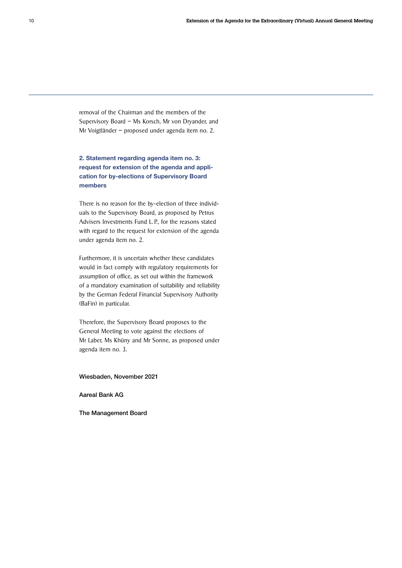removal of the Chairman and the members of the Supervisory Board – Ms Korsch, Mr von Dryander, and Mr Voigtländer – proposed under agenda item no. 2.

2. Statement regarding agenda item no. 3: request for extension of the agenda and application for by-elections of Supervisory Board members

There is no reason for the by-election of three individuals to the Supervisory Board, as proposed by Petrus Advisers Investments Fund L. P., for the reasons stated with regard to the request for extension of the agenda under agenda item no. 2.

Furthermore, it is uncertain whether these candidates would in fact comply with regulatory requirements for assumption of office, as set out within the framework of a mandatory examination of suitability and reliability by the German Federal Financial Supervisory Authority (BaFin) in particular.

Therefore, the Supervisory Board proposes to the General Meeting to vote against the elections of Mr Laber, Ms Khüny and Mr Sonne, as proposed under agenda item no. 3.

Wiesbaden, November 2021

Aareal Bank AG

The Management Board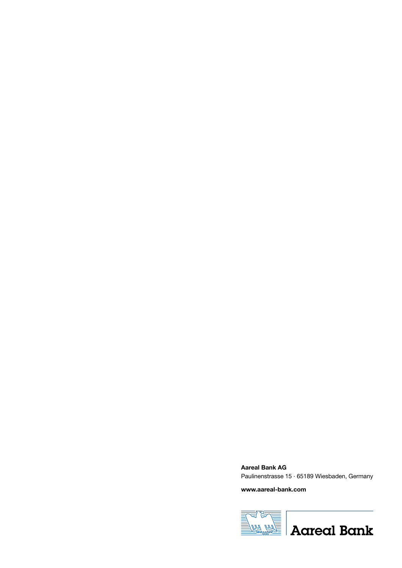Aareal Bank AG Paulinenstrasse 15 · 65189 Wiesbaden, Germany

www.aareal-bank.com